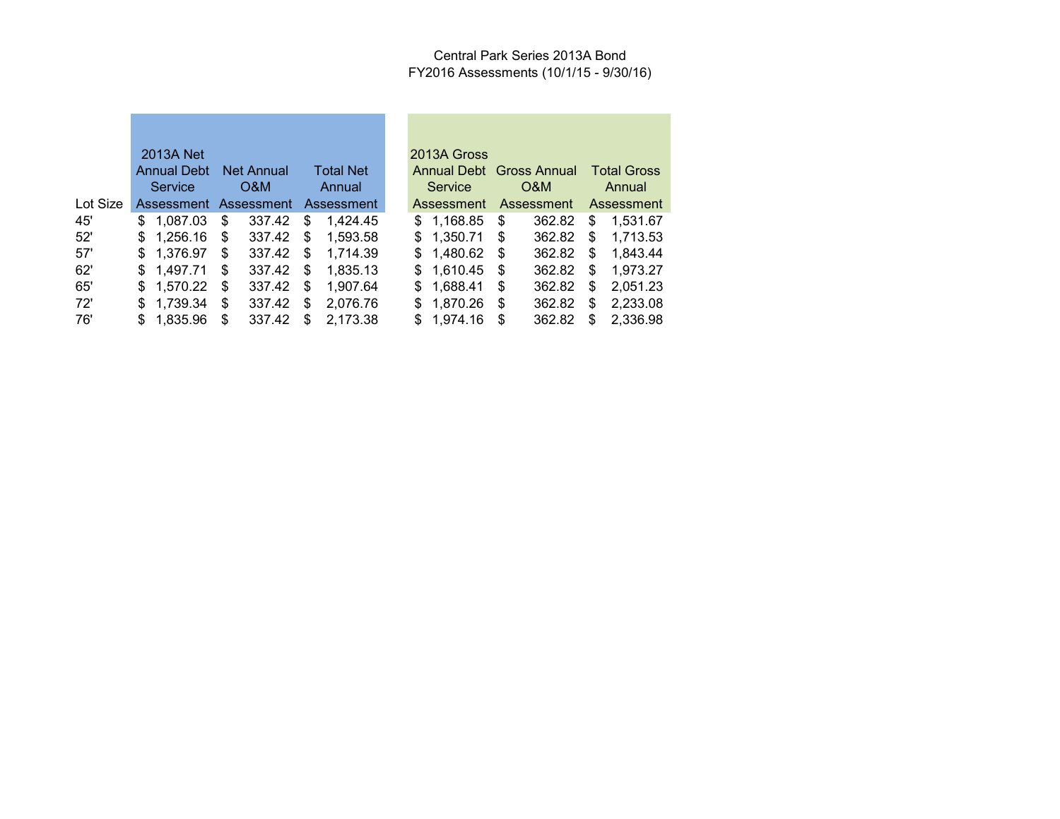#### Central Park Series 2013A Bond FY2016 Assessments (10/1/15 - 9/30/16)

|          | 2013A Net              |    |        |     |                                  |    | 2013A Gross |      |                                  |    |                    |
|----------|------------------------|----|--------|-----|----------------------------------|----|-------------|------|----------------------------------|----|--------------------|
|          | Annual Debt Net Annual |    |        |     | <b>Total Net</b>                 |    |             |      | Annual Debt Gross Annual         |    | <b>Total Gross</b> |
|          | <b>Service</b>         |    | O&M    |     | Annual                           |    | Service     |      | O&M                              |    | Annual             |
| Lot Size |                        |    |        |     | Assessment Assessment Assessment |    |             |      | Assessment Assessment Assessment |    |                    |
| 45'      | \$1.087.03             | \$ | 337.42 | \$  | 1.424.45                         |    | \$1,168.85  | \$   | 362.82                           | \$ | 1.531.67           |
| 52'      | \$1,256.16             | \$ | 337.42 | \$  | 1,593.58                         |    | \$1,350.71  | - \$ | 362.82                           | \$ | 1.713.53           |
| 57'      | \$1,376.97             | \$ | 337.42 | \$  | 1.714.39                         |    | \$1,480.62  | - \$ | 362.82                           | S. | 1.843.44           |
| 62'      | \$1,497.71             | \$ | 337.42 | \$  | 1.835.13                         |    | \$1,610.45  | S    | 362.82                           | \$ | 1,973.27           |
| 65'      | \$1,570.22             | \$ | 337.42 | \$  | 1.907.64                         |    | \$1,688.41  | S    | 362.82                           | \$ | 2,051.23           |
| 72'      | \$1,739.34             | \$ | 337.42 | S   | 2.076.76                         | \$ | 1,870.26    | \$   | 362.82                           | S  | 2,233.08           |
| 76'      | \$1,835.96             | S  | 337.42 | \$. | 2,173.38                         | \$ | 1.974.16    | \$.  | 362.82                           | \$ | 2,336.98           |

| 2013A Gross        |                     |                    |          |  |  |
|--------------------|---------------------|--------------------|----------|--|--|
| <b>Annual Debt</b> | <b>Gross Annual</b> | <b>Total Gross</b> |          |  |  |
| Service            | O&M                 | Annual             |          |  |  |
| Assessment         | <b>Assessment</b>   | Assessment         |          |  |  |
| \$<br>1,168.85     | \$<br>362.82        | \$                 | 1,531.67 |  |  |
| \$<br>1,350.71     | \$<br>362.82        | \$                 | 1,713.53 |  |  |
| \$<br>1,480.62     | \$<br>362.82        | \$                 | 1,843.44 |  |  |
| \$<br>1,610.45     | \$<br>362.82        | \$                 | 1,973.27 |  |  |
| \$<br>1,688.41     | \$<br>362.82        | \$                 | 2,051.23 |  |  |
| \$<br>1,870.26     | \$<br>362.82        | \$                 | 2,233.08 |  |  |
| \$<br>1,974.16     | \$<br>362.82        | \$                 | 2,336.98 |  |  |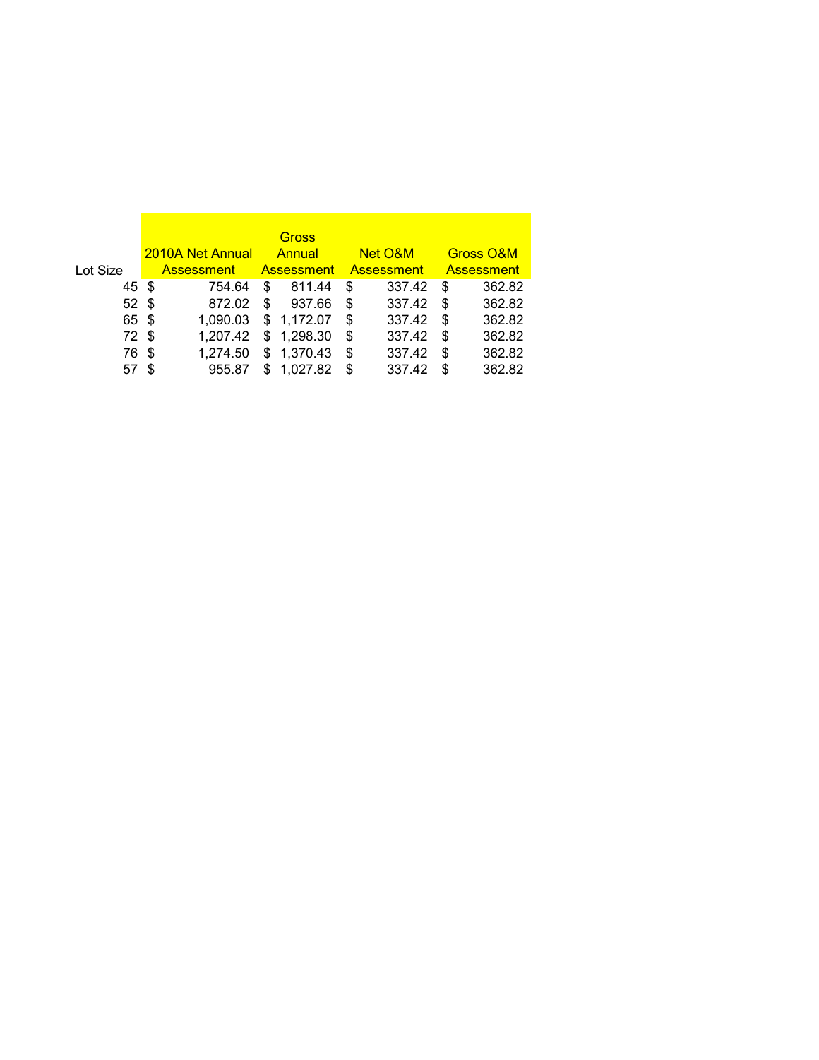|                 |     |                   |   | <b>Gross</b>      |    |              |    |                      |
|-----------------|-----|-------------------|---|-------------------|----|--------------|----|----------------------|
|                 |     | 2010A Net Annual  |   | Annual            |    | Net O&M      |    | <b>Gross O&amp;M</b> |
| Lot Size        |     | <b>Assessment</b> |   | <b>Assessment</b> |    | – Assessment |    | <b>Assessment</b>    |
| 45 \$           |     | 754.64            | S | 811.44            | \$ | 337.42       | \$ | 362.82               |
| 52 <sup>°</sup> |     | 872.02            | S | 937.66            | S  | 337.42       | \$ | 362.82               |
| 65 \$           |     | 1.090.03          |   | \$1,172.07        | S  | 337.42       | S  | 362.82               |
| 72 \$           |     | 1.207.42          |   | \$1,298.30        | S  | 337.42       | S  | 362.82               |
| 76              | -\$ | 1.274.50          |   | \$1,370.43        | \$ | 337.42       | \$ | 362.82               |
| 57              | S   | 955.87            |   | 1.027.82          | S  | 337.42       | \$ | 362.82               |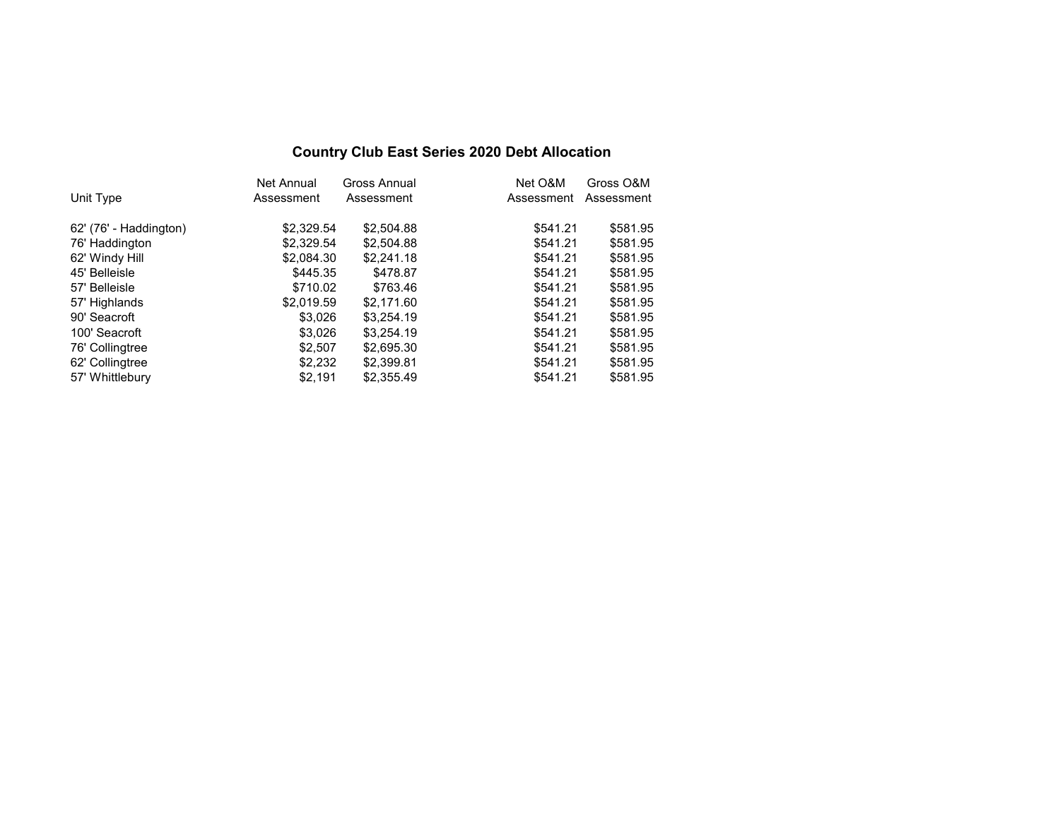### **Country Club East Series 2020 Debt Allocation**

| <b>Net Annual</b> | Gross Annual | Net O&M                                                             | Gross O&M  |
|-------------------|--------------|---------------------------------------------------------------------|------------|
| Assessment        | Assessment   | Assessment                                                          | Assessment |
| \$2.329.54        | \$2,504.88   | \$541.21                                                            | \$581.95   |
| \$2,329.54        | \$2,504.88   | \$541.21                                                            | \$581.95   |
|                   | \$2,241.18   | \$541.21                                                            | \$581.95   |
|                   | \$478.87     | \$541.21                                                            | \$581.95   |
|                   | \$763.46     | \$541.21                                                            | \$581.95   |
| \$2.019.59        | \$2.171.60   | \$541.21                                                            | \$581.95   |
|                   | \$3,254.19   | \$541.21                                                            | \$581.95   |
|                   | \$3,254.19   | \$541.21                                                            | \$581.95   |
| \$2,507           | \$2,695.30   | \$541.21                                                            | \$581.95   |
|                   | \$2,399.81   | \$541.21                                                            | \$581.95   |
| \$2.191           | \$2,355.49   | \$541.21                                                            | \$581.95   |
|                   |              | \$2,084.30<br>\$445.35<br>\$710.02<br>\$3.026<br>\$3,026<br>\$2,232 |            |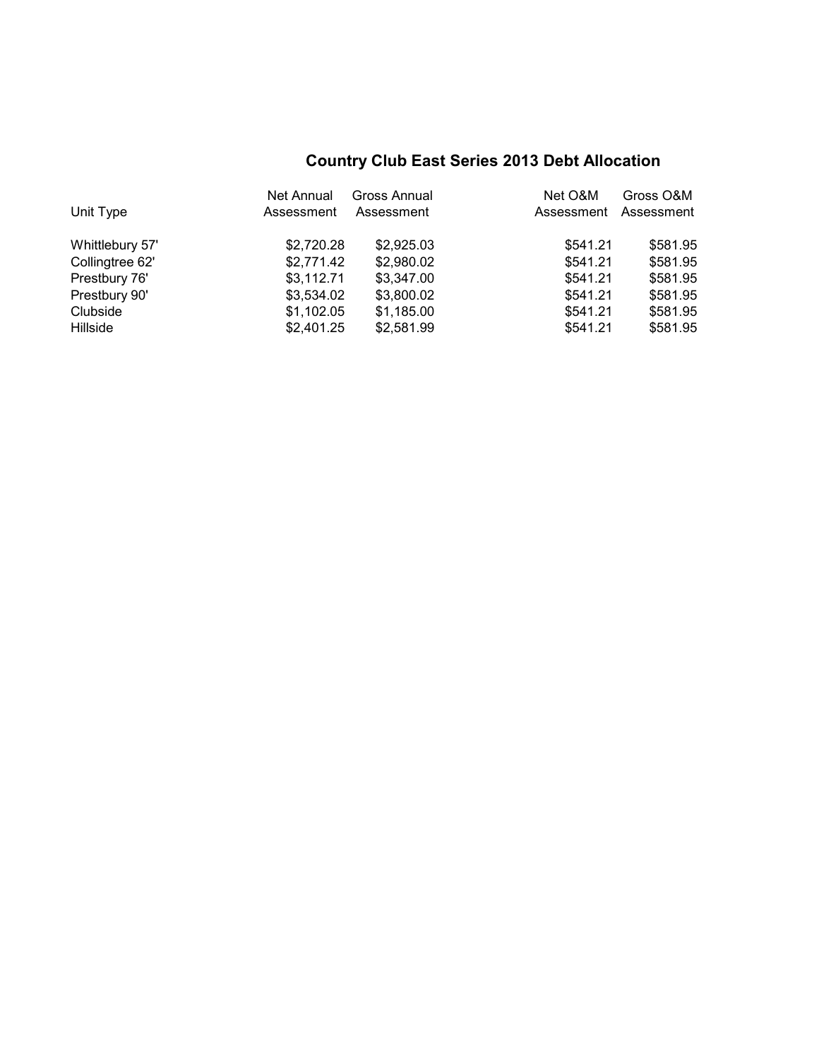# **Country Club East Series 2013 Debt Allocation**

|                 | Net Annual | Gross Annual | Net O&M    | Gross O&M  |
|-----------------|------------|--------------|------------|------------|
| Unit Type       | Assessment | Assessment   | Assessment | Assessment |
| Whittlebury 57' | \$2,720.28 | \$2,925.03   | \$541.21   | \$581.95   |
| Collingtree 62' | \$2,771.42 | \$2,980.02   | \$541.21   | \$581.95   |
| Prestbury 76'   | \$3,112.71 | \$3,347.00   | \$541.21   | \$581.95   |
| Prestbury 90'   | \$3,534.02 | \$3,800.02   | \$541.21   | \$581.95   |
| Clubside        | \$1,102.05 | \$1,185.00   | \$541.21   | \$581.95   |
| Hillside        | \$2,401.25 | \$2,581.99   | \$541.21   | \$581.95   |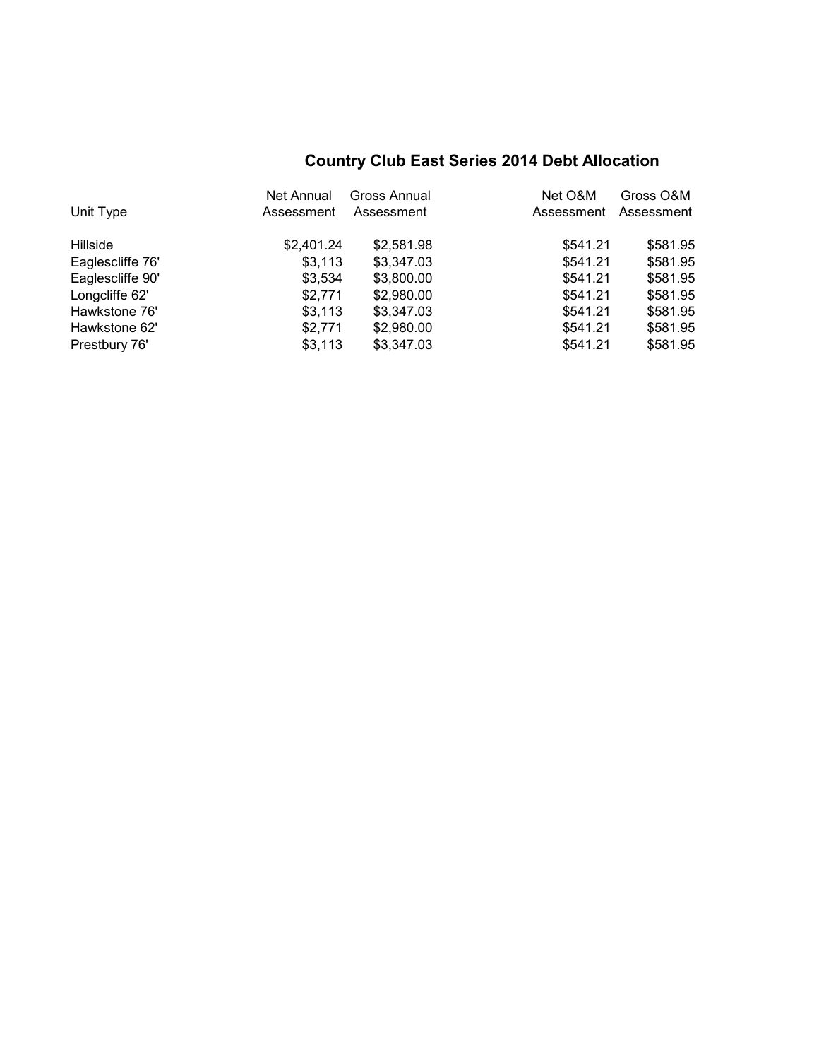# **Country Club East Series 2014 Debt Allocation**

|                  | Net Annual | Gross Annual | Net O&M    | Gross O&M  |
|------------------|------------|--------------|------------|------------|
| Unit Type        | Assessment | Assessment   | Assessment | Assessment |
| Hillside         | \$2,401.24 | \$2,581.98   | \$541.21   | \$581.95   |
| Eaglescliffe 76' | \$3,113    | \$3,347.03   | \$541.21   | \$581.95   |
| Eaglescliffe 90' | \$3,534    | \$3,800.00   | \$541.21   | \$581.95   |
| Longcliffe 62'   | \$2,771    | \$2,980.00   | \$541.21   | \$581.95   |
| Hawkstone 76'    | \$3,113    | \$3,347.03   | \$541.21   | \$581.95   |
| Hawkstone 62'    | \$2,771    | \$2,980.00   | \$541.21   | \$581.95   |
| Prestbury 76'    | \$3,113    | \$3,347.03   | \$541.21   | \$581.95   |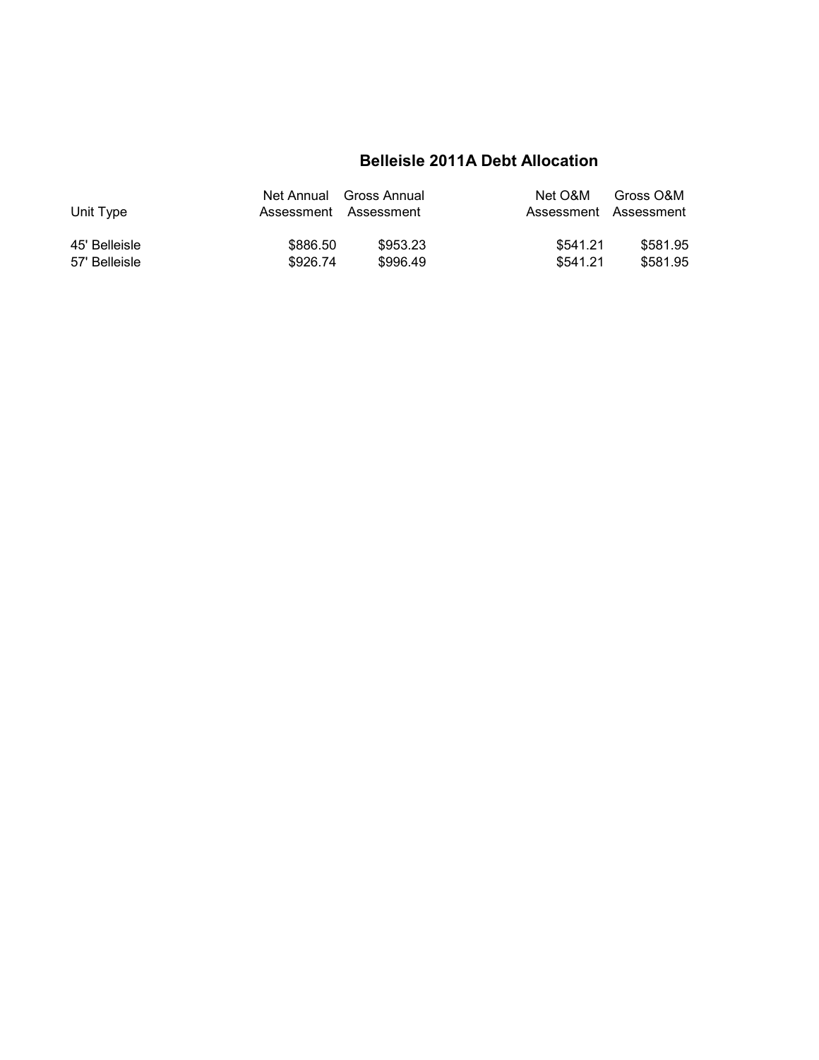## **Belleisle 2011A Debt Allocation**

| Unit Type     |          | Net Annual Gross Annual<br>Assessment Assessment | Net O&M<br>Assessment Assessment | Gross O&M |
|---------------|----------|--------------------------------------------------|----------------------------------|-----------|
| 45' Belleisle | \$886.50 | \$953.23                                         | \$541.21                         | \$581.95  |
| 57' Belleisle | \$926.74 | \$996.49                                         | \$541.21                         | \$581.95  |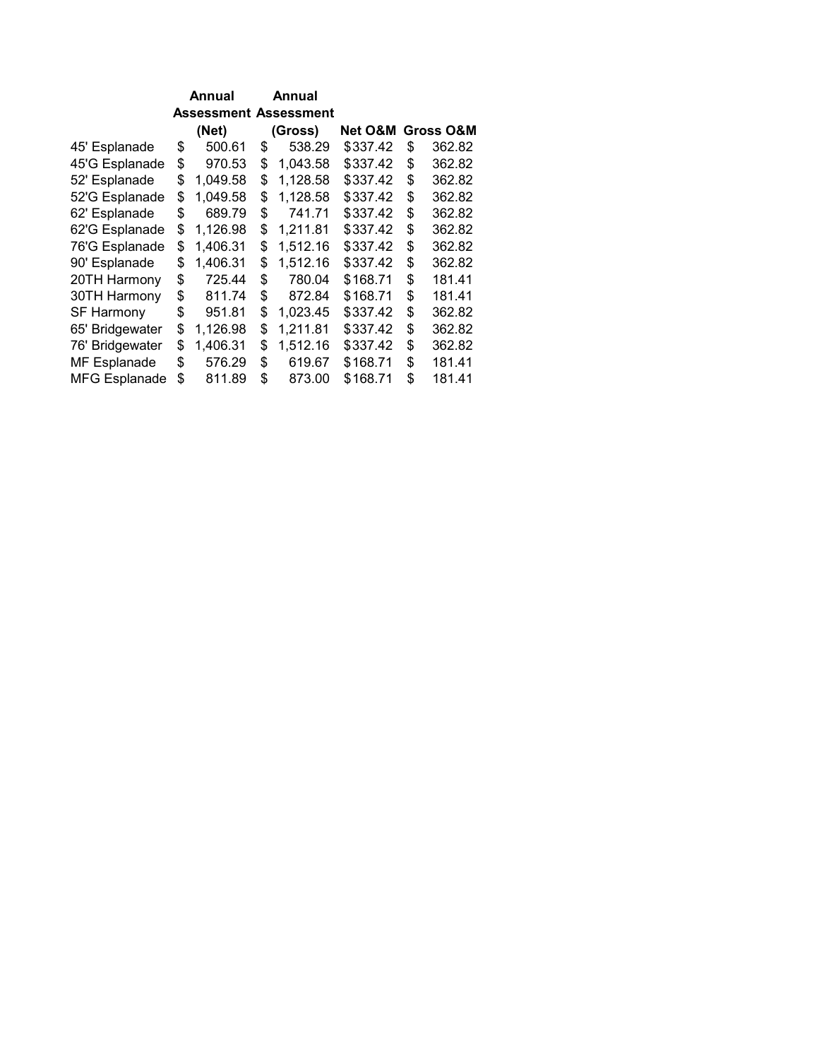|                      | Annual |                              | Annual |          |          |                      |
|----------------------|--------|------------------------------|--------|----------|----------|----------------------|
|                      |        | <b>Assessment Assessment</b> |        |          |          |                      |
|                      |        | (Net)                        |        | (Gross)  | Net O&M  | <b>Gross O&amp;M</b> |
| 45' Esplanade        | \$     | 500.61                       | \$     | 538.29   | \$337.42 | \$<br>362.82         |
| 45'G Esplanade       | \$     | 970.53                       | \$     | 1,043.58 | \$337.42 | \$<br>362.82         |
| 52' Esplanade        | \$     | 1,049.58                     | \$     | 1,128.58 | \$337.42 | \$<br>362.82         |
| 52'G Esplanade       | \$     | 1,049.58                     | \$     | 1,128.58 | \$337.42 | \$<br>362.82         |
| 62' Esplanade        | \$     | 689.79                       | \$     | 741.71   | \$337.42 | \$<br>362.82         |
| 62'G Esplanade       | \$     | 1,126.98                     | \$     | 1,211.81 | \$337.42 | \$<br>362.82         |
| 76'G Esplanade       | \$     | 1,406.31                     | \$     | 1,512.16 | \$337.42 | \$<br>362.82         |
| 90' Esplanade        | \$     | 1,406.31                     | \$     | 1,512.16 | \$337.42 | \$<br>362.82         |
| 20TH Harmony         | \$     | 725.44                       | \$     | 780.04   | \$168.71 | \$<br>181.41         |
| 30TH Harmony         | \$     | 811.74                       | \$     | 872.84   | \$168.71 | \$<br>181.41         |
| <b>SF Harmony</b>    | \$     | 951.81                       | \$     | 1,023.45 | \$337.42 | \$<br>362.82         |
| 65' Bridgewater      | \$     | 1,126.98                     | \$     | 1,211.81 | \$337.42 | \$<br>362.82         |
| 76' Bridgewater      | \$     | 1,406.31                     | \$     | 1,512.16 | \$337.42 | \$<br>362.82         |
| MF Esplanade         | \$     | 576.29                       | \$     | 619.67   | \$168.71 | \$<br>181.41         |
| <b>MFG Esplanade</b> | \$     | 811.89                       | \$     | 873.00   | \$168.71 | \$<br>181.41         |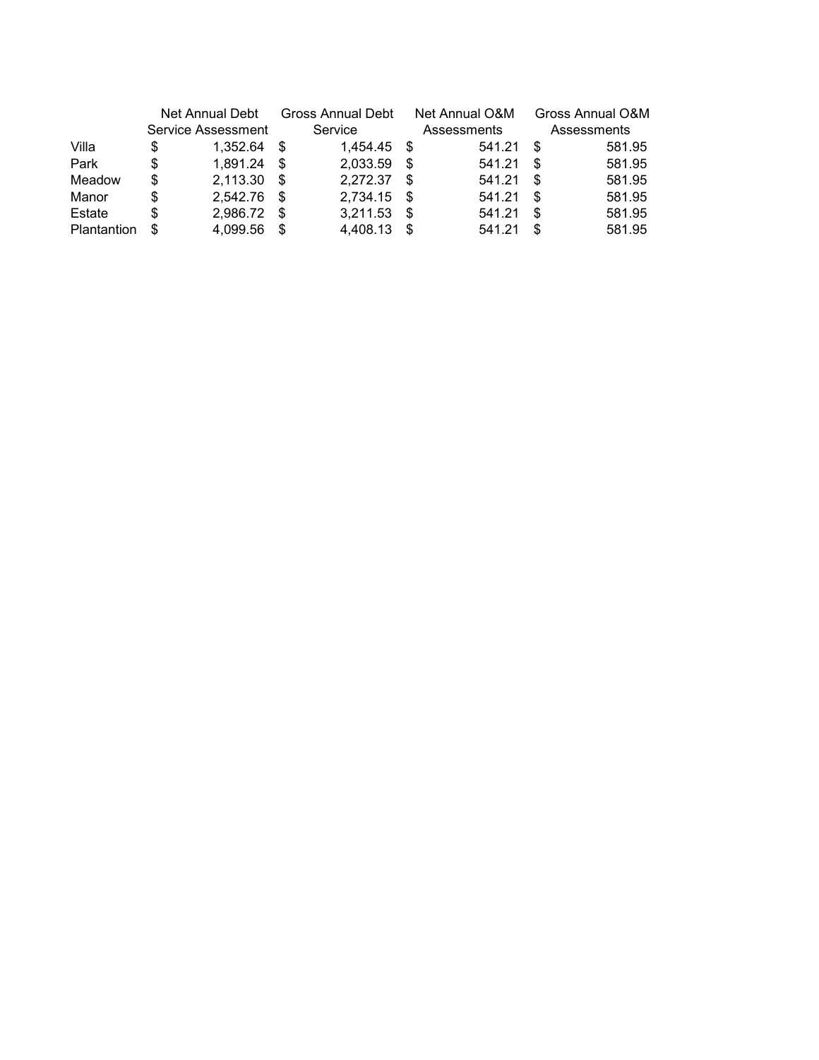|             | Net Annual Debt |                    | Gross Annual Debt |          |      | Net Annual O&M | Gross Annual O&M |             |
|-------------|-----------------|--------------------|-------------------|----------|------|----------------|------------------|-------------|
|             |                 | Service Assessment |                   | Service  |      | Assessments    |                  | Assessments |
| Villa       | S               | 1.352.64           | -S                | 1.454.45 | - \$ | 541.21         | \$.              | 581.95      |
| Park        | S               | 1,891.24           | \$.               | 2,033.59 | \$.  | 541.21         | \$               | 581.95      |
| Meadow      | S               | 2,113.30           | \$.               | 2,272.37 | -S   | 541.21         | \$.              | 581.95      |
| Manor       | S               | 2,542.76           | \$.               | 2,734.15 | - \$ | 541.21         | \$.              | 581.95      |
| Estate      | S               | 2,986.72           | S                 | 3,211.53 | -\$  | 541.21         | \$               | 581.95      |
| Plantantion | S               | 4.099.56           | S                 | 4.408.13 | S    | 541.21         | S                | 581.95      |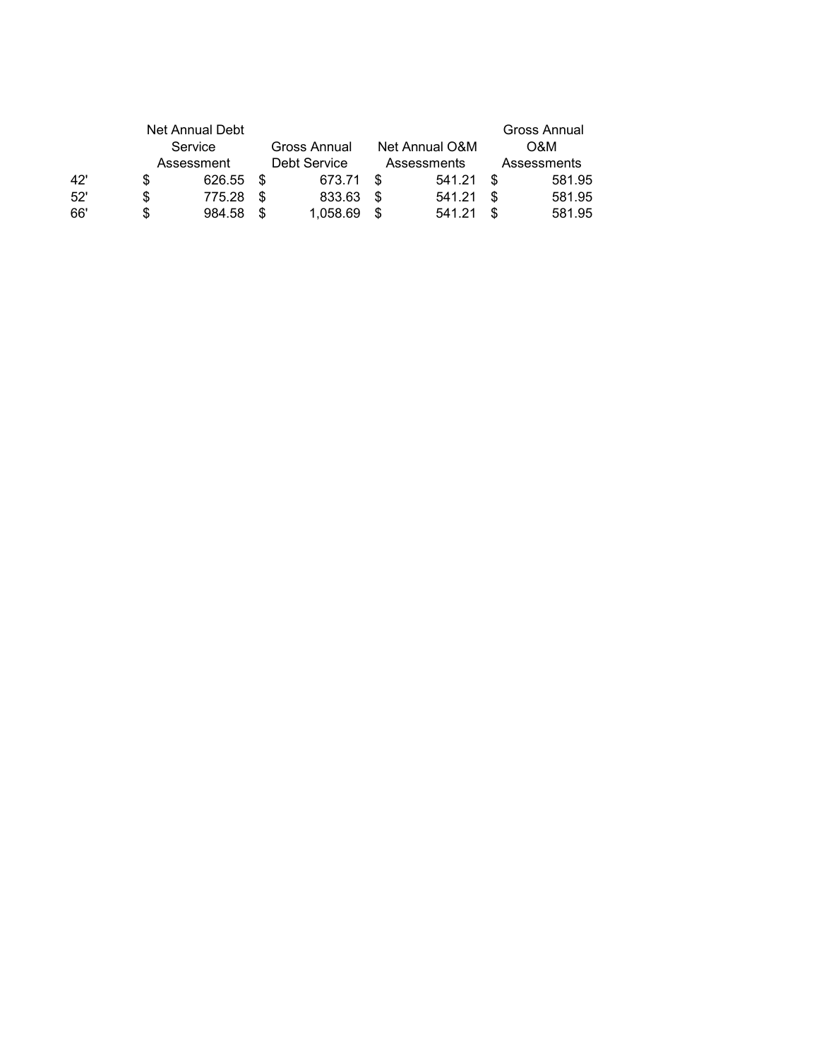|     |    | Net Annual Debt |      |              |     |                |    | Gross Annual |
|-----|----|-----------------|------|--------------|-----|----------------|----|--------------|
|     |    | Service         |      | Gross Annual |     | Net Annual O&M |    | O&M          |
|     |    | Assessment      |      | Debt Service |     | Assessments    |    | Assessments  |
| 42' | S  | 626.55          | - \$ | 673.71       | £.  | 541.21         | £. | 581.95       |
| 52' | S  | 775.28          | \$   | 833.63       | S   | 541.21         | ß. | 581.95       |
| 66' | S. | 984.58          | ß.   | 1,058.69     | \$. | 541.21         | ß. | 581.95       |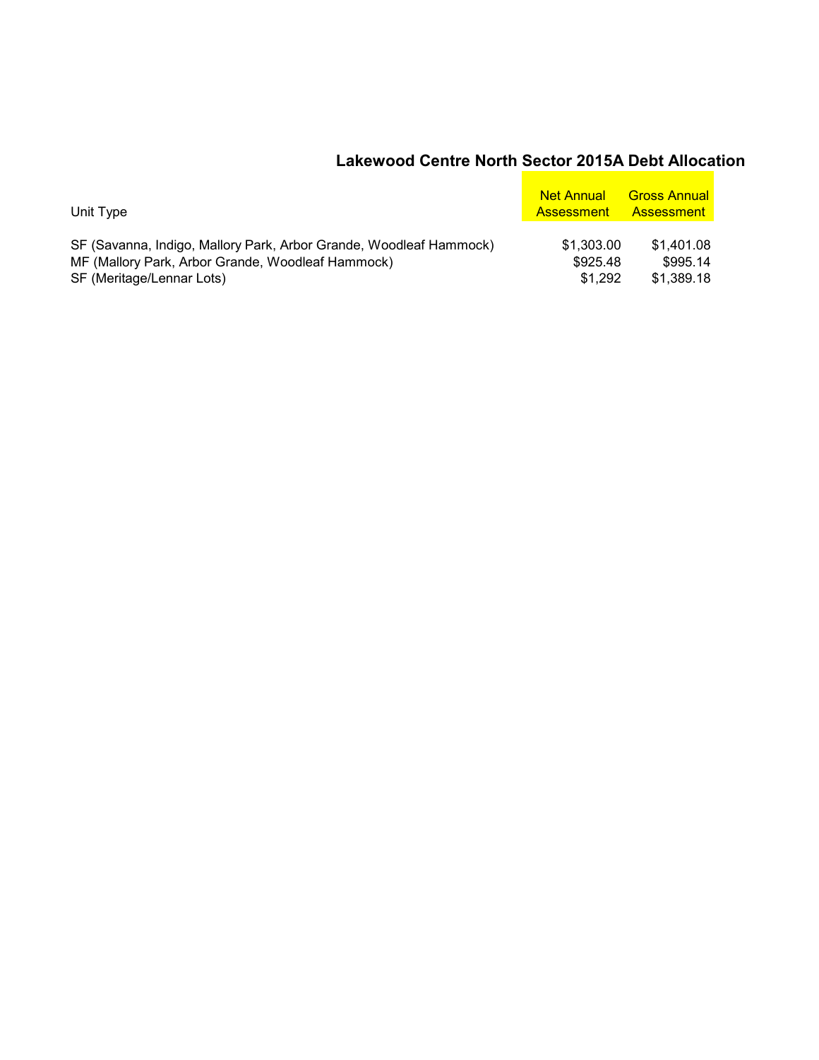#### **Lakewood Centre North Sector 2015A Debt Allocation**

| Unit Type                                                          | <b>Net Annual</b><br><b>Assessment</b> | <b>Gross Annual</b><br>– Assessment |
|--------------------------------------------------------------------|----------------------------------------|-------------------------------------|
| SF (Savanna, Indigo, Mallory Park, Arbor Grande, Woodleaf Hammock) | \$1,303.00                             | \$1.401.08                          |
| MF (Mallory Park, Arbor Grande, Woodleaf Hammock)                  | \$925.48                               | \$995.14                            |
| SF (Meritage/Lennar Lots)                                          | \$1.292                                | \$1,389.18                          |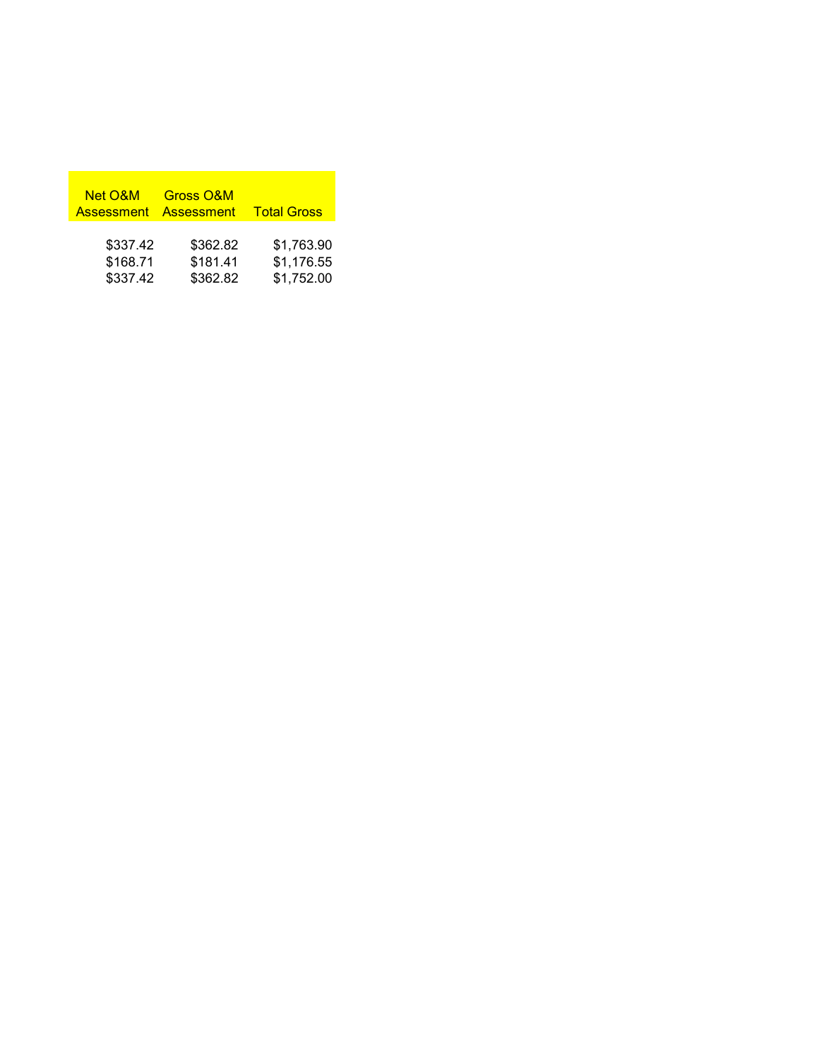| <b>Net O&amp;M</b><br>Assessment Assessment | Gross O&M | <b>Total Gross</b> |
|---------------------------------------------|-----------|--------------------|
| \$337.42                                    | \$362.82  | \$1,763.90         |
| \$168.71                                    | \$181.41  | \$1,176.55         |
| \$337.42                                    | \$362.82  | \$1,752.00         |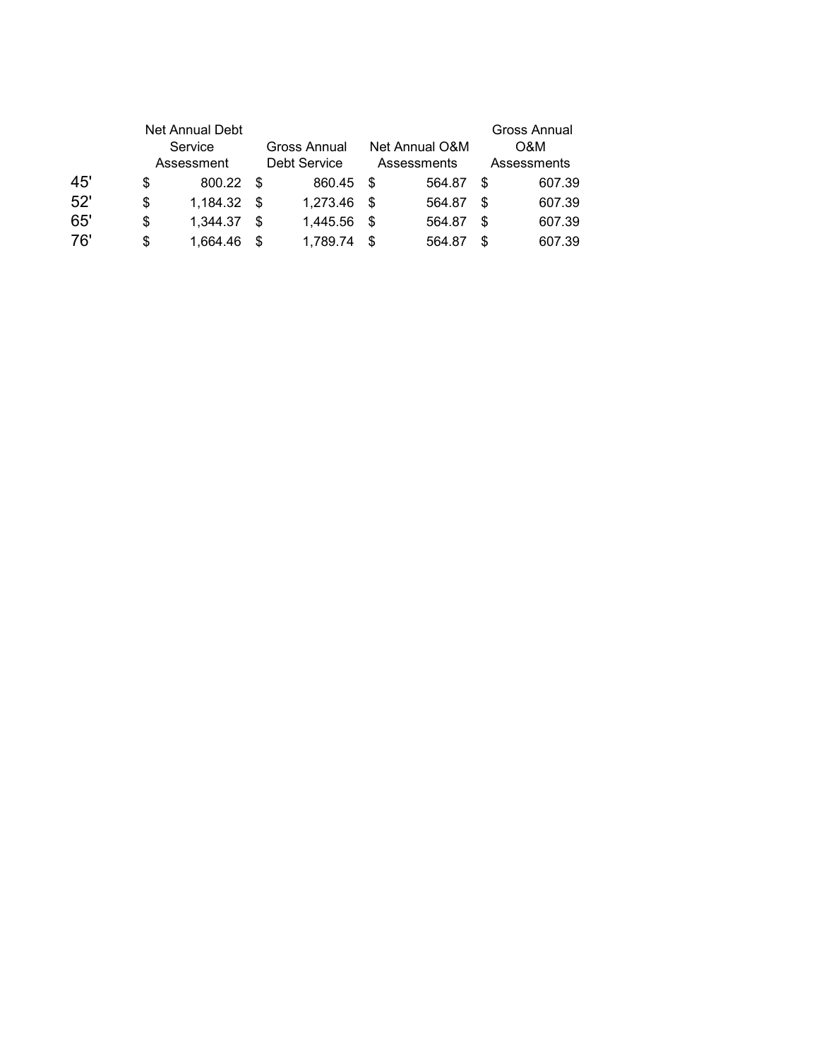|     | Net Annual Debt<br>Service<br>Assessment |      | Gross Annual<br>Debt Service |      | Net Annual O&M<br>Assessments | Gross Annual<br>O&M<br>Assessments |        |
|-----|------------------------------------------|------|------------------------------|------|-------------------------------|------------------------------------|--------|
| 45' | \$<br>800.22                             | - \$ | 860.45                       | - \$ | 564.87                        | S                                  | 607.39 |
| 52' | \$<br>1,184.32                           | - \$ | 1,273.46                     | -\$  | 564.87                        | S                                  | 607.39 |
| 65' | \$<br>1,344.37                           | -S   | 1,445.56                     | - \$ | 564.87                        | S                                  | 607.39 |
| 76' | \$<br>1,664.46                           | \$.  | 1,789.74                     | - \$ | 564.87                        | S                                  | 607.39 |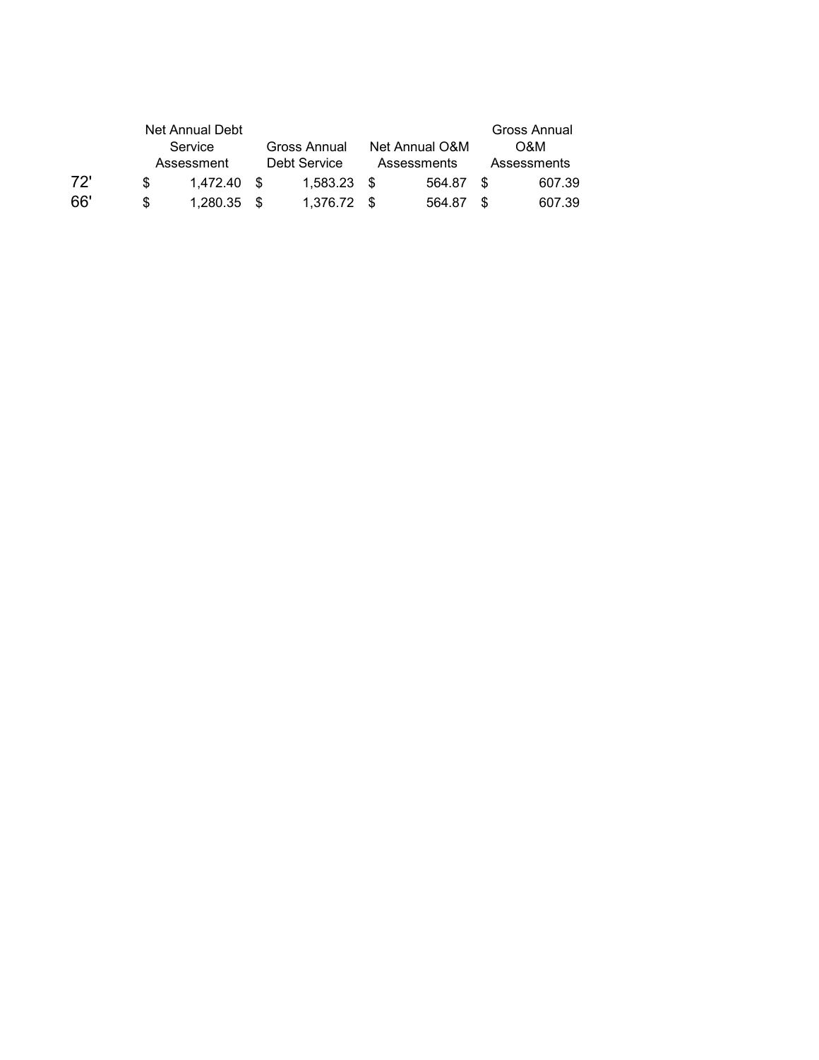|     |    | Net Annual Debt |               |                |      | Gross Annual |
|-----|----|-----------------|---------------|----------------|------|--------------|
|     |    | Service         | Gross Annual  | Net Annual O&M |      | O&M          |
|     |    | Assessment      | Debt Service  | Assessments    |      | Assessments  |
| 72' | £. | 1.472.40 \$     | $1.583.23$ \$ | 564.87         | - \$ | 607.39       |
| 66' |    | $1.280.35$ \$   | 1.376.72 \$   | 564.87         | - \$ | 607.39       |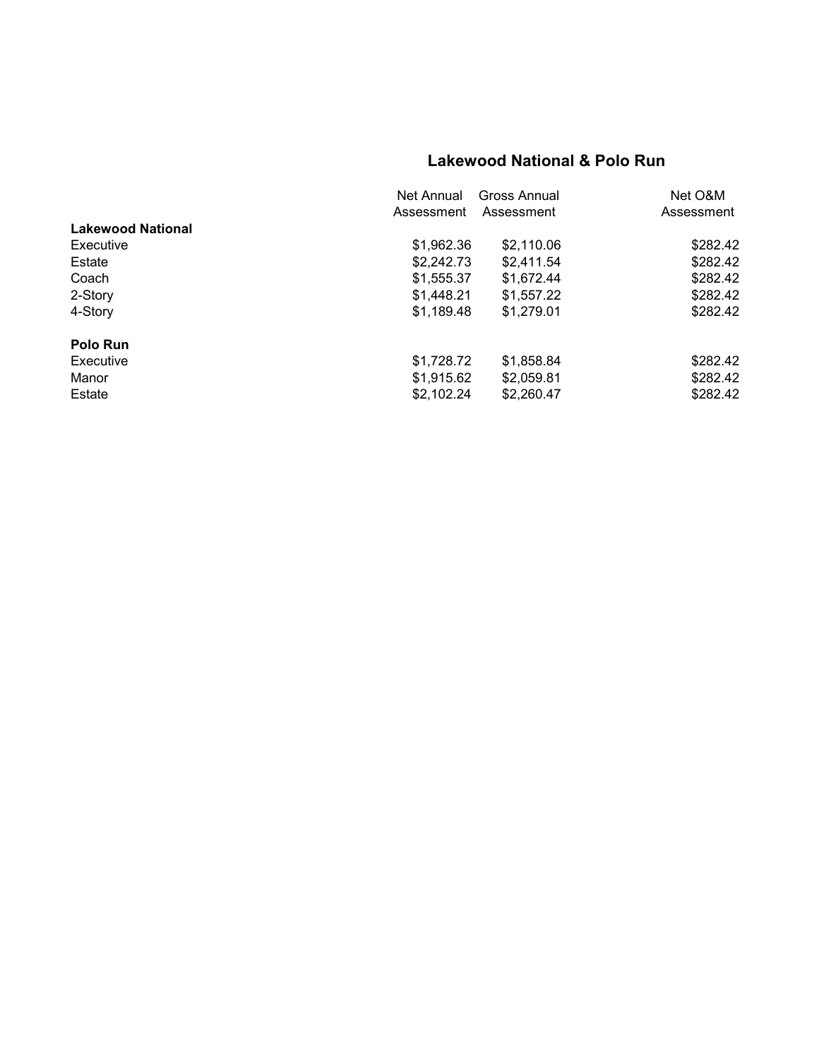### **Lakewood National & Polo Run**

|                          | Net Annual | Gross Annual | Net O&M    |
|--------------------------|------------|--------------|------------|
|                          | Assessment | Assessment   | Assessment |
| <b>Lakewood National</b> |            |              |            |
| Executive                | \$1,962.36 | \$2,110.06   | \$282.42   |
| Estate                   | \$2,242.73 | \$2.411.54   | \$282.42   |
| Coach                    | \$1,555.37 | \$1,672.44   | \$282.42   |
| 2-Story                  | \$1,448.21 | \$1,557.22   | \$282.42   |
| 4-Story                  | \$1,189.48 | \$1,279.01   | \$282.42   |
| Polo Run                 |            |              |            |
| Executive                | \$1,728.72 | \$1,858.84   | \$282.42   |
| Manor                    | \$1,915.62 | \$2,059.81   | \$282.42   |
| Estate                   | \$2,102.24 | \$2,260.47   | \$282.42   |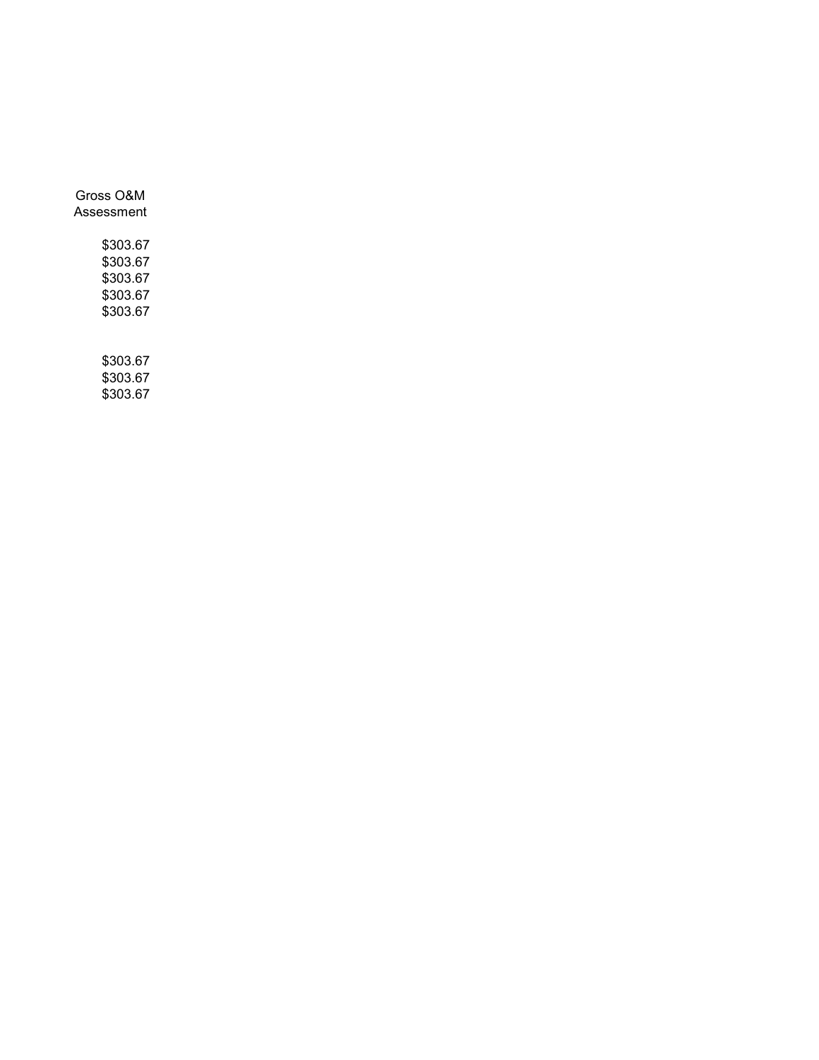| Gross O&M<br>Assessment                                  |
|----------------------------------------------------------|
| \$303.67<br>\$303.67<br>\$303.67<br>\$303.67<br>\$303.67 |
| \$303.67<br>ሖຸດດູດ                                       |

\$303.67 \$303.67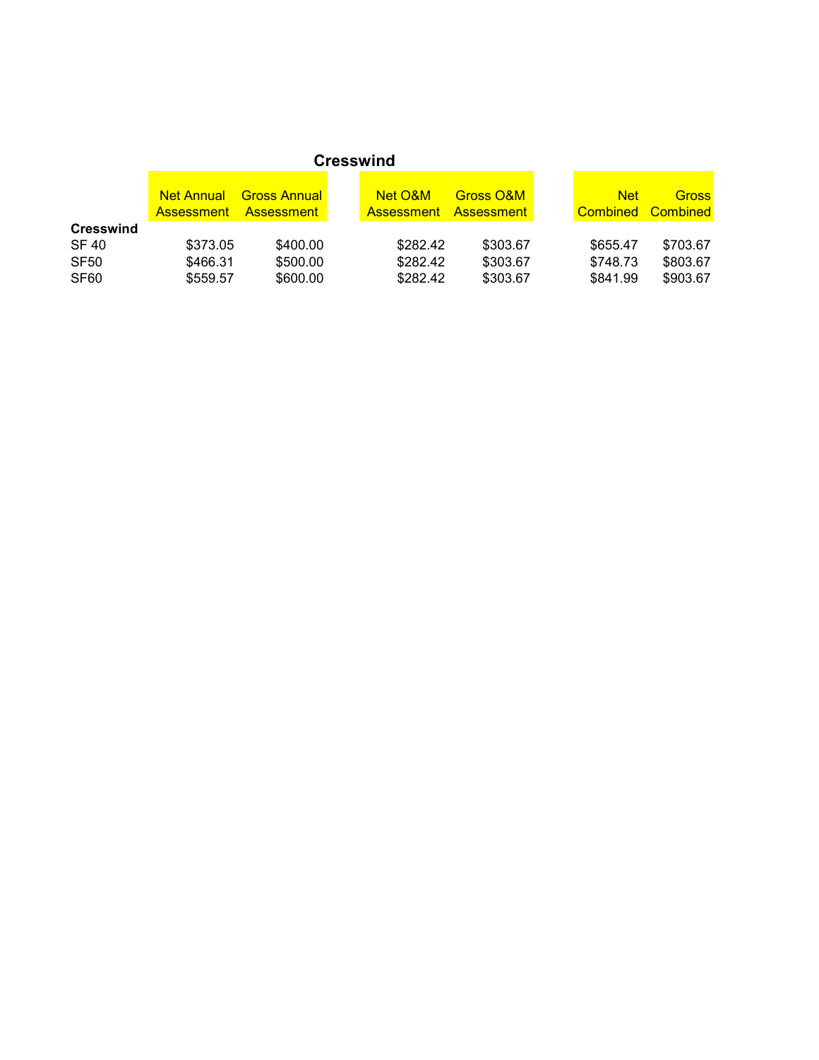|                                                                          | <b>Net Annual</b><br><b>Assessment</b> | <b>Gross Annual</b><br>– Assessment | <b>Net O&amp;M</b><br><b>Assessment Assessment</b> | Gross O&M                        | <b>Net</b><br><b>Combined Combined</b> | <b>Gross</b>                     |
|--------------------------------------------------------------------------|----------------------------------------|-------------------------------------|----------------------------------------------------|----------------------------------|----------------------------------------|----------------------------------|
| <b>Cresswind</b><br><b>SF 40</b><br>SF <sub>50</sub><br>SF <sub>60</sub> | \$373.05<br>\$466.31<br>\$559.57       | \$400.00<br>\$500.00<br>\$600.00    | \$282.42<br>\$282.42<br>\$282.42                   | \$303.67<br>\$303.67<br>\$303.67 | \$655.47<br>\$748.73<br>\$841.99       | \$703.67<br>\$803.67<br>\$903.67 |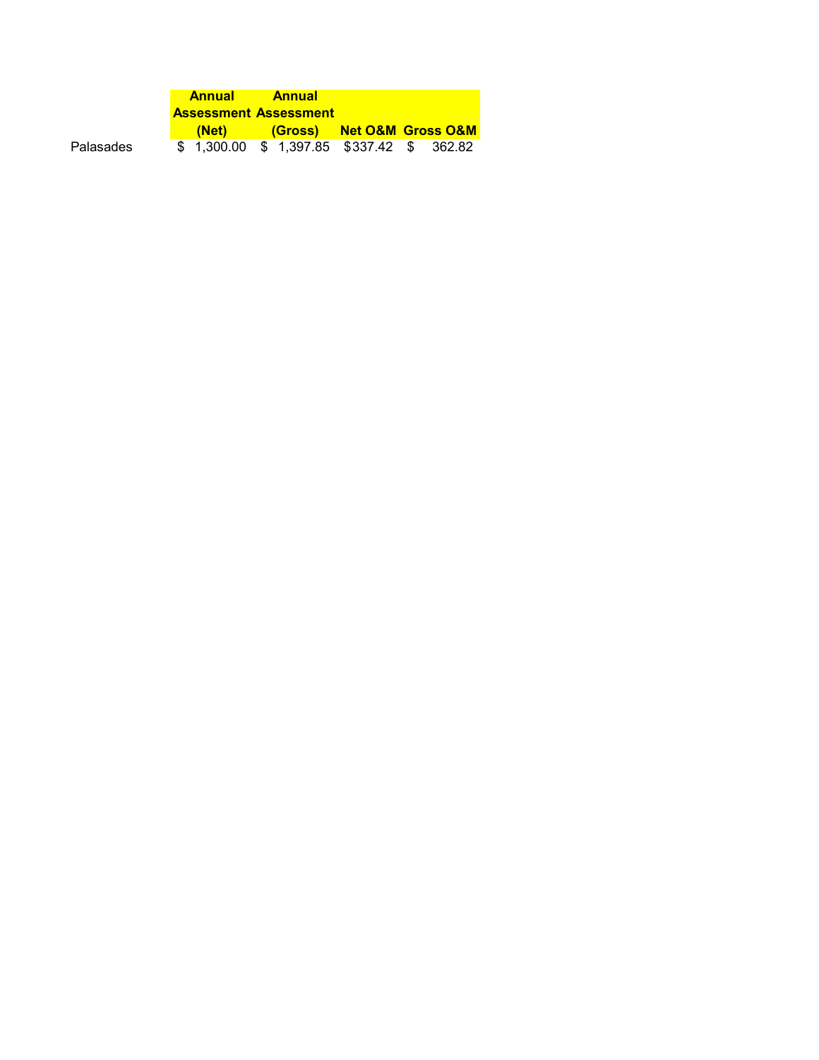|           | <b>Annual</b>                | <b>Annual</b> |                                            |  |
|-----------|------------------------------|---------------|--------------------------------------------|--|
|           | <b>Assessment Assessment</b> |               |                                            |  |
|           | <b>(Net)</b>                 |               | (Gross) Net O&M Gross O&M                  |  |
| Palasades |                              |               | \$ 1.300.00 \$ 1.397.85 \$337.42 \$ 362.82 |  |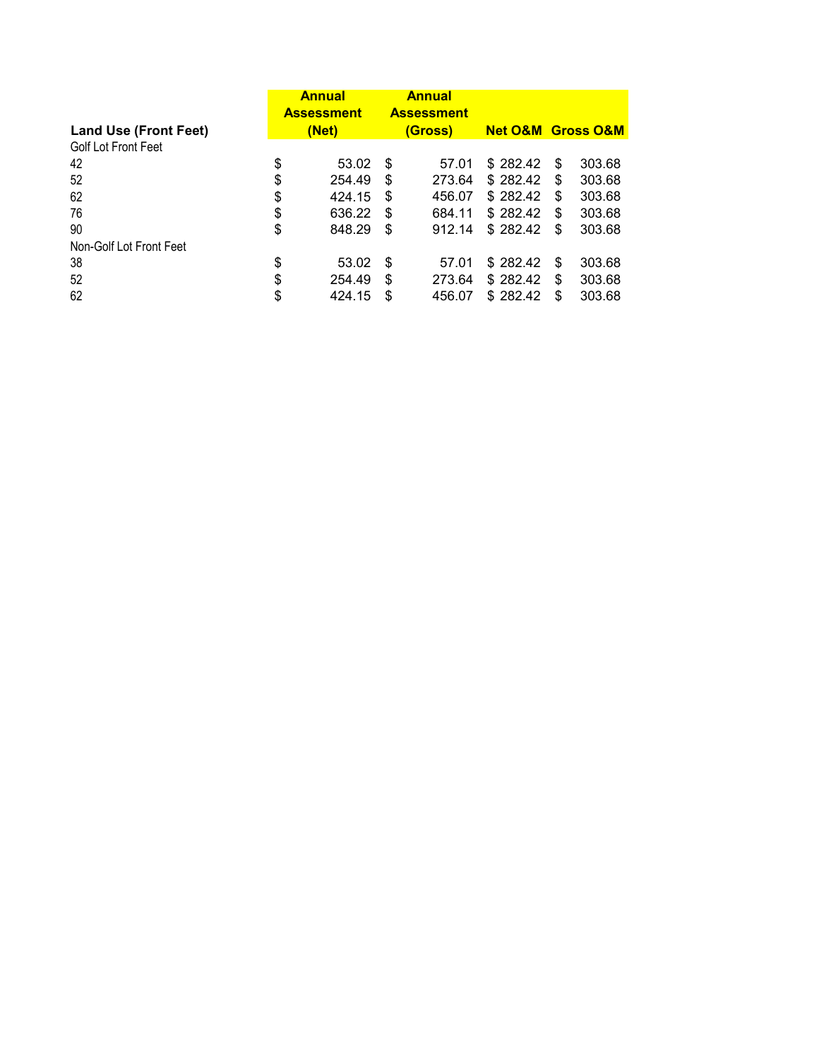| <b>Land Use (Front Feet)</b> | <b>Annual</b><br><b>Assessment</b><br>(Net) |     | <b>Annual</b><br><b>Assessment</b><br>(Gross) | <b>Net O&amp;M Gross O&amp;M</b> |     |        |
|------------------------------|---------------------------------------------|-----|-----------------------------------------------|----------------------------------|-----|--------|
| <b>Golf Lot Front Feet</b>   |                                             |     |                                               |                                  |     |        |
| 42                           | \$<br>53.02                                 | \$. | 57.01                                         | \$282.42                         | \$. | 303.68 |
|                              |                                             |     |                                               |                                  |     |        |
| 52                           | \$<br>254.49                                | \$  | 273.64                                        | \$282.42                         | S   | 303.68 |
| 62                           | \$<br>424.15                                | \$  | 456.07                                        | \$282.42                         | S   | 303.68 |
| 76                           | \$<br>636.22                                | \$  | 684.11                                        | \$282.42                         | S   | 303.68 |
| 90                           | \$<br>848.29                                | \$  | 912.14                                        | \$282.42                         | \$. | 303.68 |
| Non-Golf Lot Front Feet      |                                             |     |                                               |                                  |     |        |
| 38                           | \$<br>53.02                                 | \$  | 57.01                                         | \$282.42                         | \$. | 303.68 |
| 52                           | \$<br>254.49                                | \$  | 273.64                                        | \$282.42                         | S   | 303.68 |
| 62                           | \$<br>424.15                                | \$  | 456.07                                        | \$282.42                         | \$  | 303.68 |
|                              |                                             |     |                                               |                                  |     |        |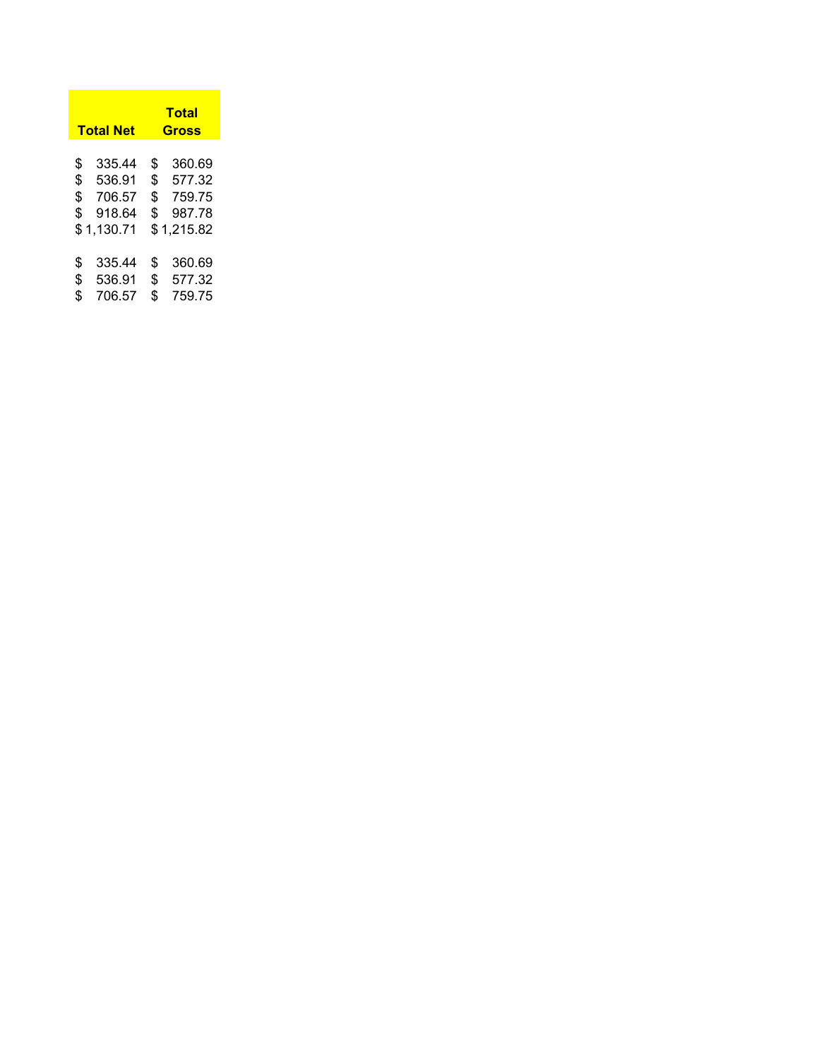|                      | <b>Total Net</b>                                   |                      | Total<br>Gross                                     |
|----------------------|----------------------------------------------------|----------------------|----------------------------------------------------|
| \$<br>\$<br>\$<br>\$ | 335.44<br>536.91<br>706.57<br>918.64<br>\$1,130.71 | \$<br>\$<br>\$<br>\$ | 360.69<br>577.32<br>759.75<br>987.78<br>\$1,215.82 |
| \$<br>\$<br>\$       | 335.44<br>536.91<br>706.57                         | \$<br>\$<br>\$       | 360.69<br>577.32<br>759.75                         |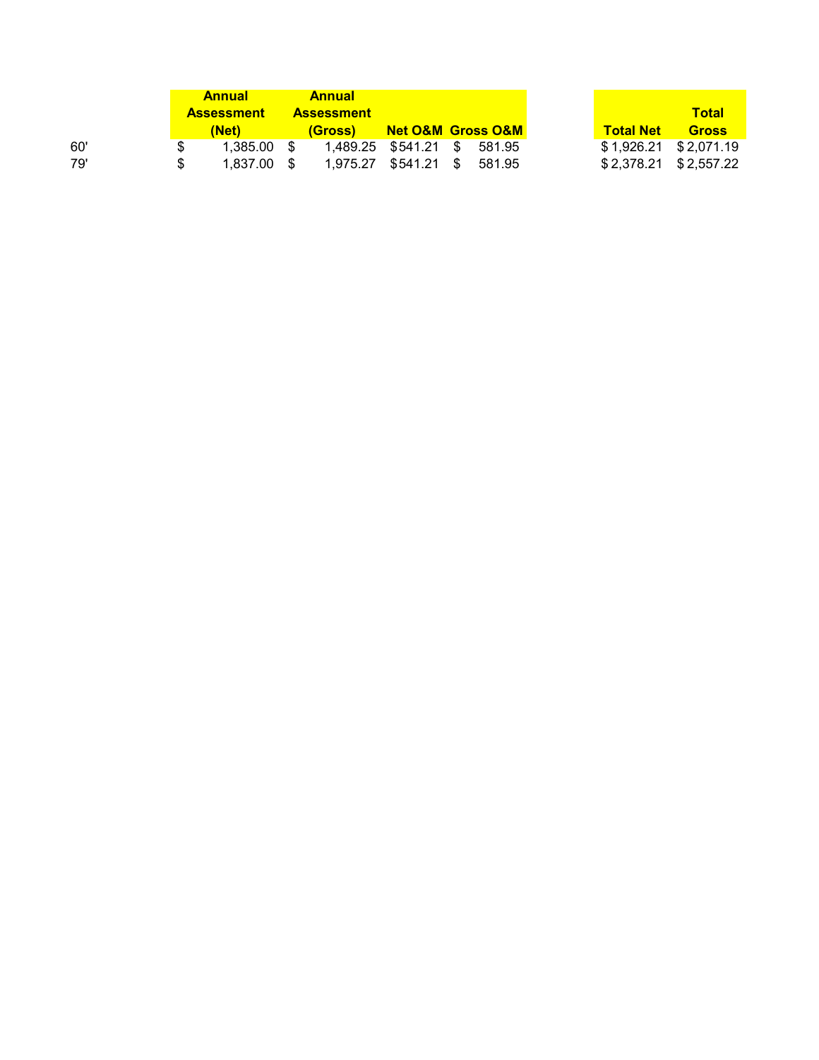|     |     | <b>Annual</b>     |               | <b>Annual</b>     |                                   |  |
|-----|-----|-------------------|---------------|-------------------|-----------------------------------|--|
|     |     | <b>Assessment</b> |               | <b>Assessment</b> |                                   |  |
|     |     | (Net)             |               | <u>(Gross)</u>    | <b>Net O&amp;M_Gross O&amp;M_</b> |  |
| 60' |     | 1.385.00          | $\mathcal{S}$ |                   | 1,489.25 \$541.21 \$ 581.95       |  |
| 79' | \$. | $1.837.00$ \$     |               |                   | 1,975.27 \$541.21 \$ 581.95       |  |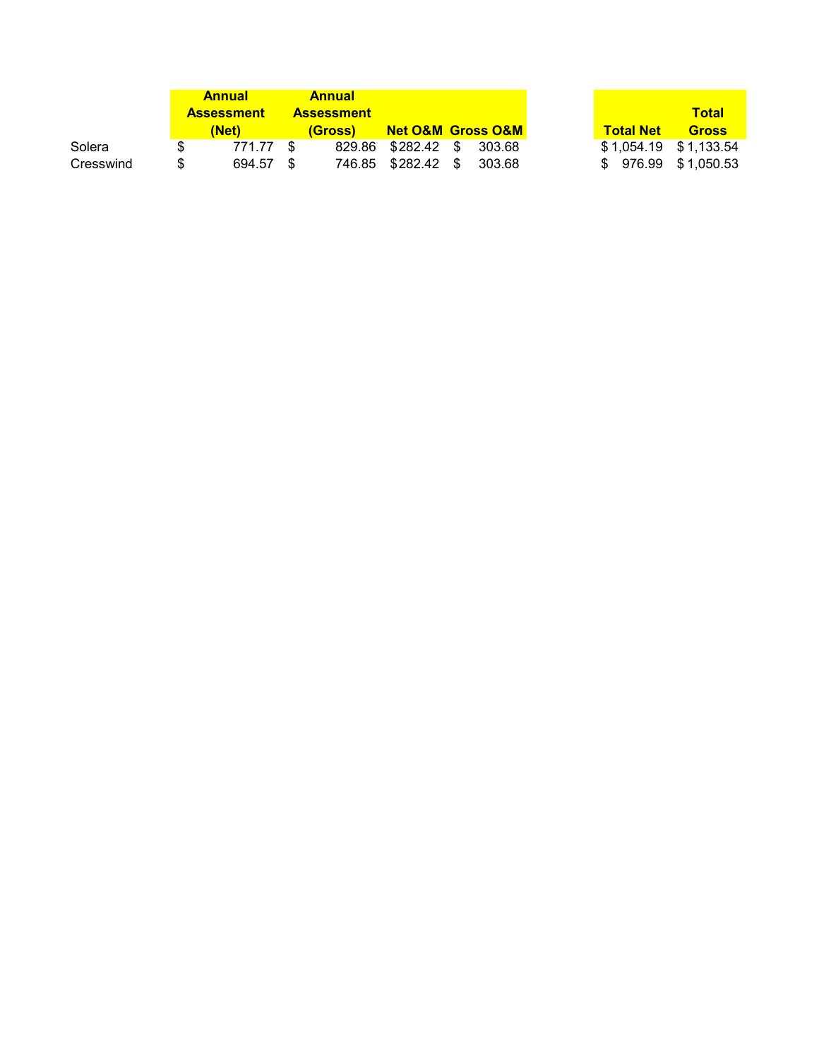|           | <b>Annual</b>     | <b>Annual</b>     |                                   |  |
|-----------|-------------------|-------------------|-----------------------------------|--|
|           | <b>Assessment</b> | <b>Assessment</b> |                                   |  |
|           | (Net)             | (Gross)           | <b>Net O&amp;M_Gross O&amp;M_</b> |  |
| Solera    | 771.77            |                   | 829.86 \$282.42 \$ 303.68         |  |
| Cresswind | \$<br>694.57 \$   |                   | 746.85 \$282.42 \$ 303.68         |  |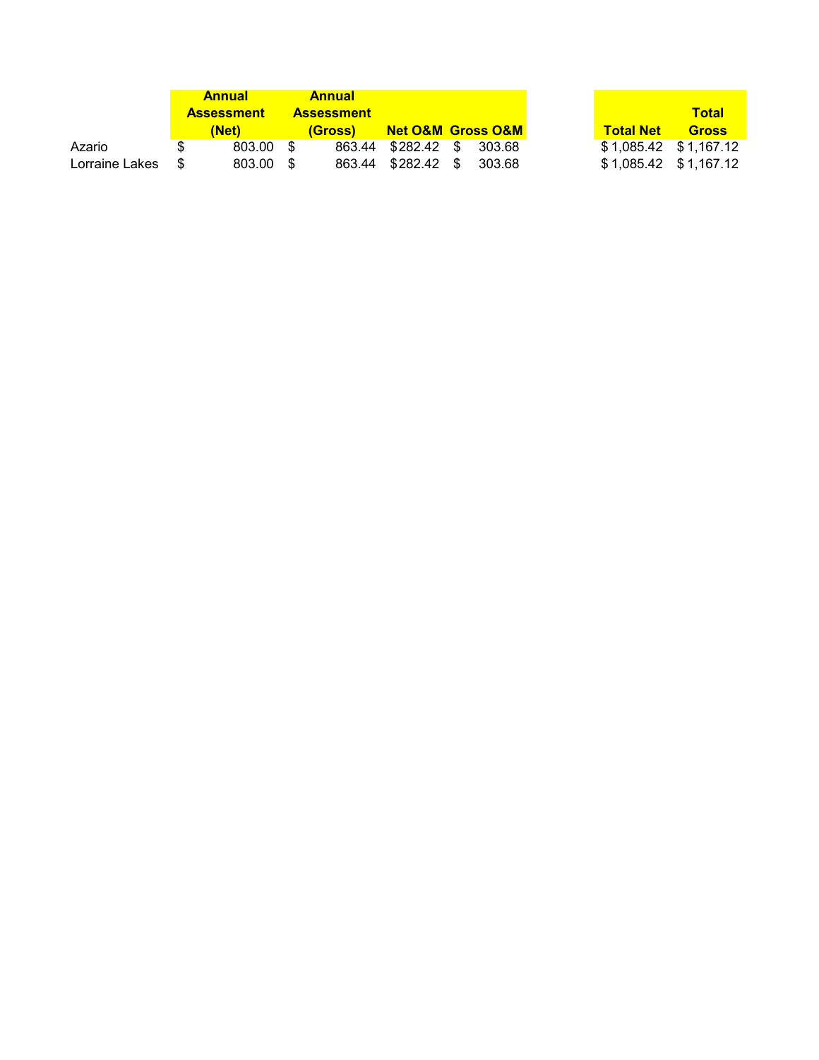|                   | <b>Annual</b>     | <b>Annual</b>     |                                   |  |
|-------------------|-------------------|-------------------|-----------------------------------|--|
|                   | <b>Assessment</b> | <b>Assessment</b> |                                   |  |
|                   | (Net)             | <i>(Gross)</i>    | <b>Net O&amp;M_Gross O&amp;M_</b> |  |
| Azario            | 803.00 \$         |                   | 863.44 \$282.42 \$ 303.68         |  |
| Lorraine Lakes \$ | 803.00 \$         |                   | 863.44 \$282.42 \$ 303.68         |  |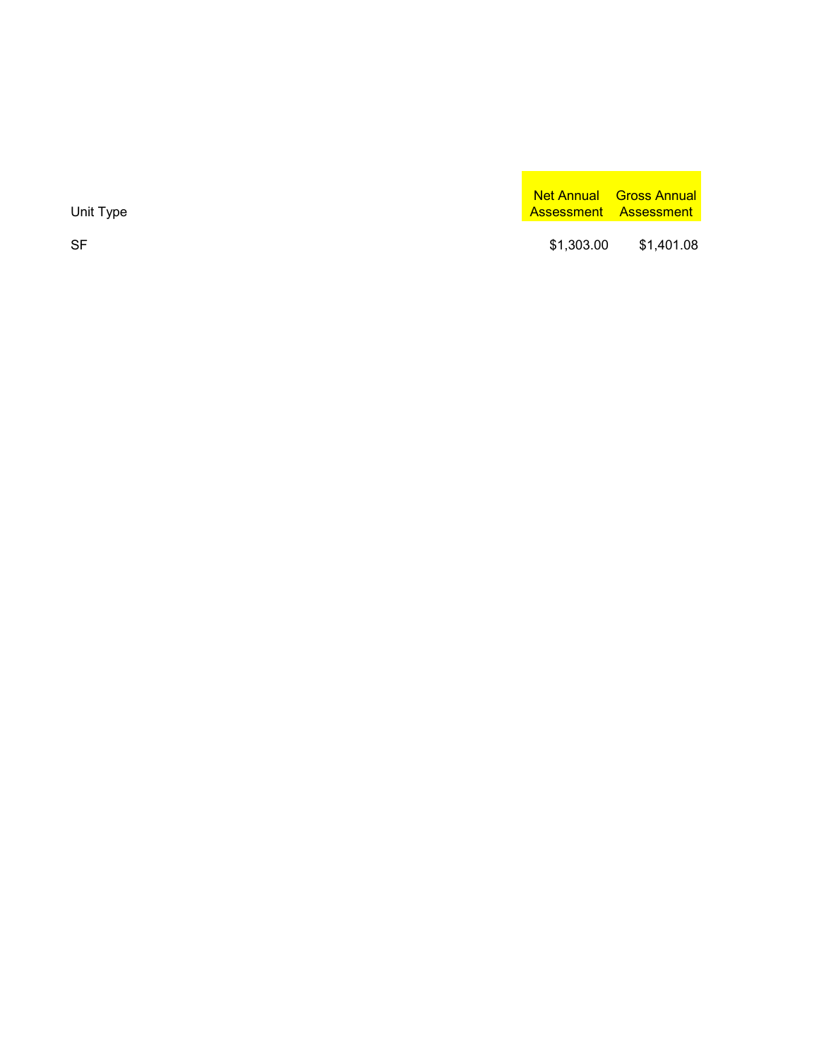SF

Net Annual Gross Annual Unit Type Assessment Assessment Assessment Assessment Assessment Assessment Assessment

> \$[1,303.00](https://1,303.00) \$[1,401.08](https://1,401.08)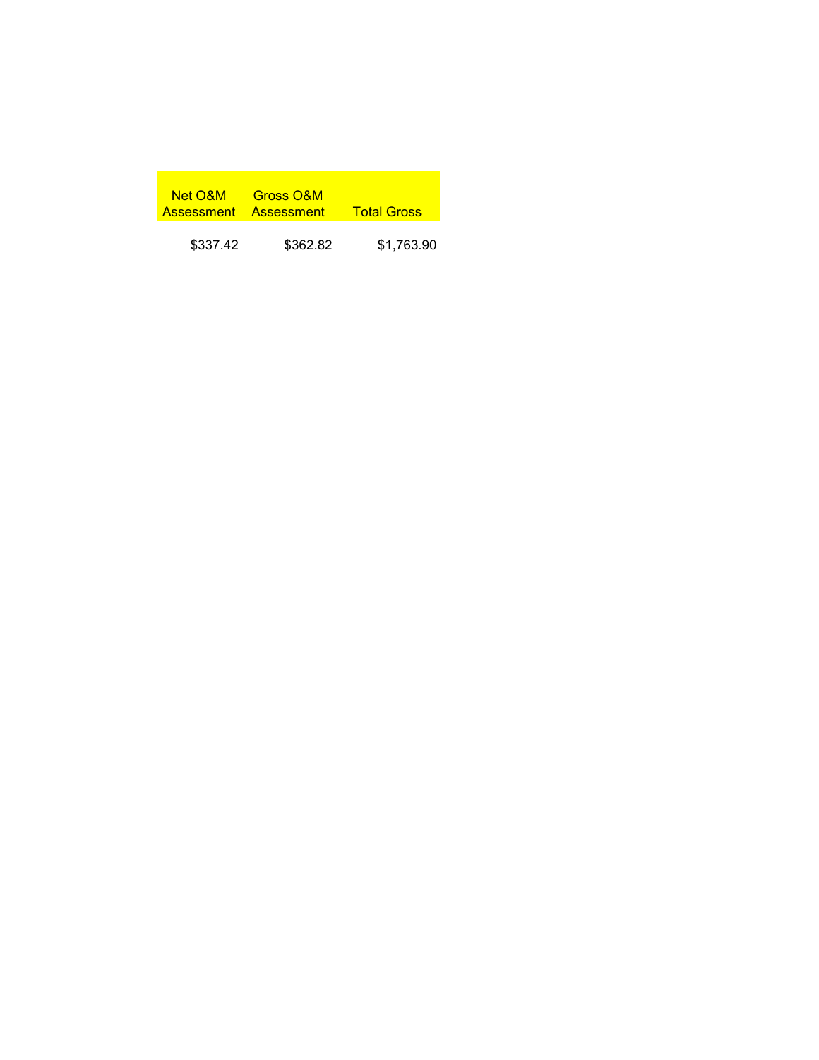| Net O&M __ | <b>Gross O&amp;M</b><br>Assessment Assessment | <b>Total Gross</b> |
|------------|-----------------------------------------------|--------------------|
| \$337.42   | \$362.82                                      | \$1,763.90         |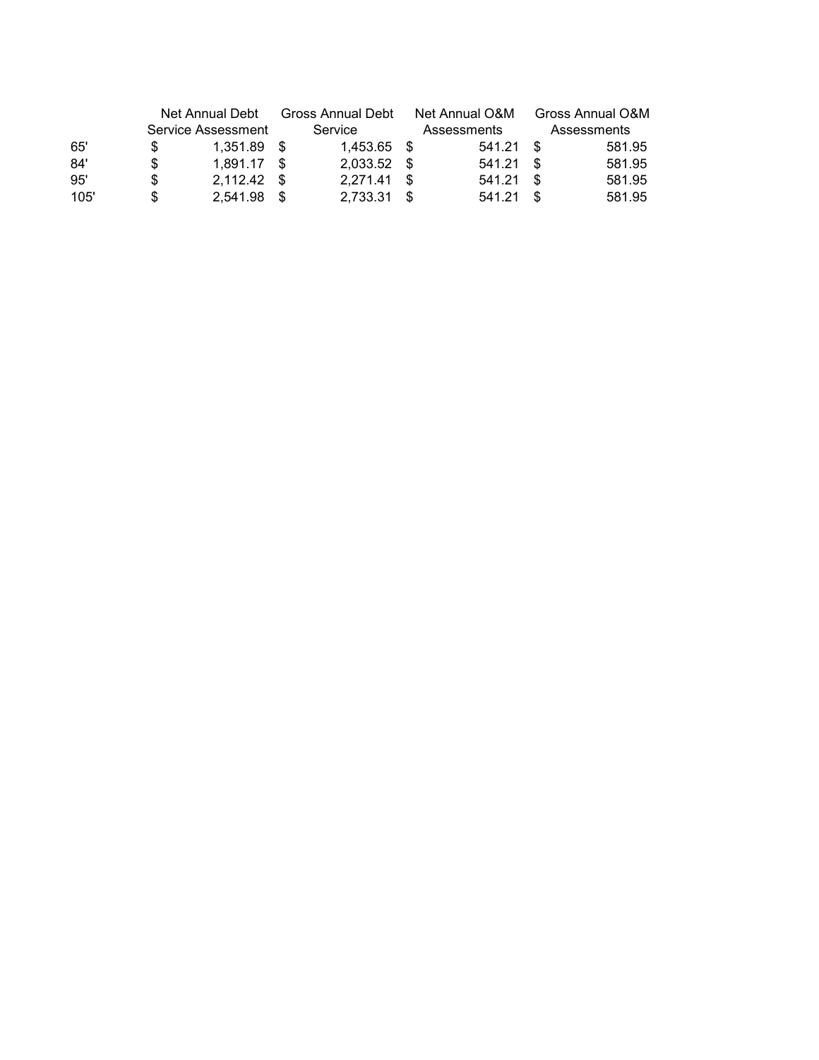|      | Net Annual Debt<br>Service Assessment |               | Gross Annual Debt<br>Service |               |      | Net Annual O&M | Gross Annual O&M<br>Assessments |        |  |
|------|---------------------------------------|---------------|------------------------------|---------------|------|----------------|---------------------------------|--------|--|
|      |                                       |               |                              |               |      | Assessments    |                                 |        |  |
| 65'  |                                       | $1.351.89$ \$ |                              | 1.453.65 \$   |      | 541.21         | - \$                            | 581.95 |  |
| 84'  | S                                     | 1.891.17      | - \$                         | 2,033.52 \$   |      | 541.21         | - \$                            | 581.95 |  |
| 95'  | S                                     | $2,112.42$ \$ |                              | $2.271.41$ \$ |      | 541.21         | - \$                            | 581.95 |  |
| 105' |                                       | 2,541.98      |                              | 2,733.31      | - \$ | 541.21         | -S                              | 581.95 |  |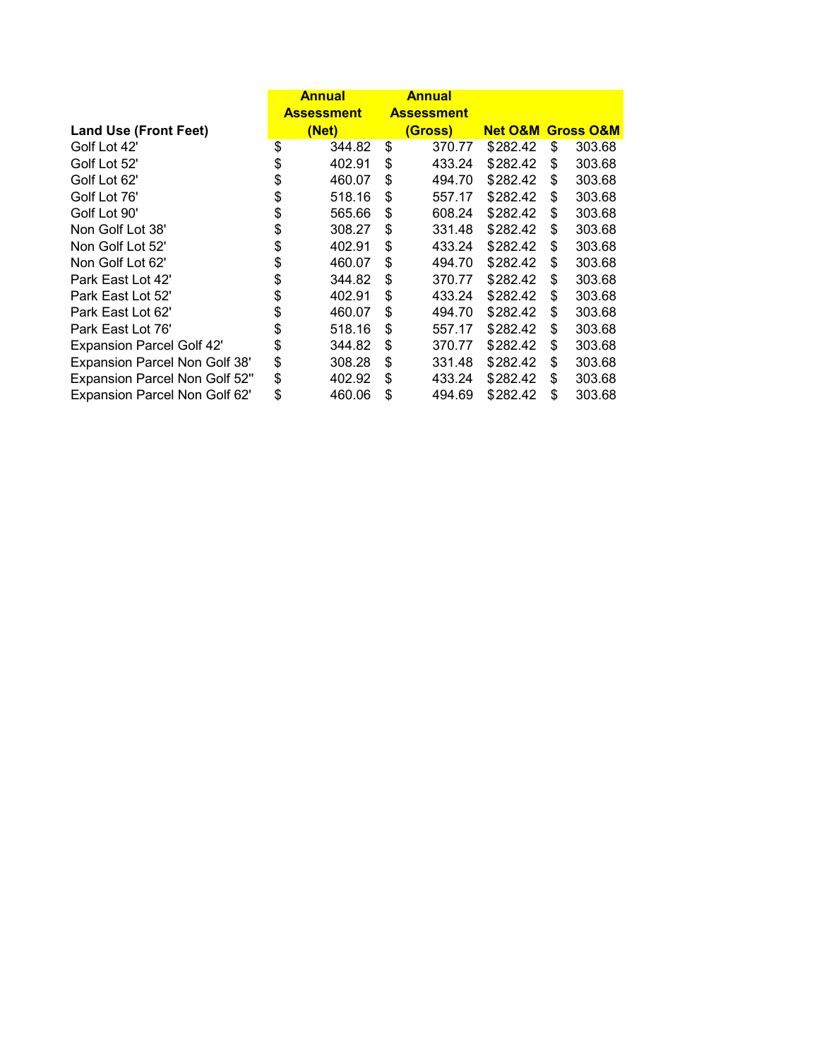|                                      |                   | <b>Annual</b> |    | <b>Annual</b>     |          |                                  |        |
|--------------------------------------|-------------------|---------------|----|-------------------|----------|----------------------------------|--------|
|                                      | <b>Assessment</b> |               |    | <b>Assessment</b> |          |                                  |        |
| <b>Land Use (Front Feet)</b>         |                   | (Net)         |    | (Gross)           |          | <b>Net O&amp;M Gross O&amp;M</b> |        |
| Golf Lot 42'                         | \$                | 344.82        | \$ | 370.77            | \$282.42 | \$                               | 303.68 |
| Golf Lot 52'                         | \$                | 402.91        | \$ | 433.24            | \$282.42 | \$                               | 303.68 |
| Golf Lot 62'                         | \$                | 460.07        | \$ | 494.70            | \$282.42 | \$                               | 303.68 |
| Golf Lot 76'                         | \$                | 518.16        | \$ | 557.17            | \$282.42 | \$                               | 303.68 |
| Golf Lot 90'                         | \$                | 565.66        | \$ | 608.24            | \$282.42 | \$                               | 303.68 |
| Non Golf Lot 38'                     | \$                | 308.27        | \$ | 331.48            | \$282.42 | \$                               | 303.68 |
| Non Golf Lot 52'                     | \$                | 402.91        | \$ | 433.24            | \$282.42 | \$                               | 303.68 |
| Non Golf Lot 62'                     | \$                | 460.07        | \$ | 494.70            | \$282.42 | \$                               | 303.68 |
| Park East Lot 42'                    | \$                | 344.82        | \$ | 370.77            | \$282.42 | \$                               | 303.68 |
| Park East Lot 52'                    | \$                | 402.91        | \$ | 433.24            | \$282.42 | \$                               | 303.68 |
| Park East Lot 62'                    | \$                | 460.07        | \$ | 494.70            | \$282.42 | \$                               | 303.68 |
| Park East Lot 76'                    | \$                | 518.16        | \$ | 557.17            | \$282.42 | \$                               | 303.68 |
| <b>Expansion Parcel Golf 42'</b>     | \$                | 344.82        | \$ | 370.77            | \$282.42 | \$                               | 303.68 |
| Expansion Parcel Non Golf 38'        | \$                | 308.28        | \$ | 331.48            | \$282.42 | \$                               | 303.68 |
| <b>Expansion Parcel Non Golf 52"</b> | \$                | 402.92        | \$ | 433.24            | \$282.42 | \$                               | 303.68 |
| <b>Expansion Parcel Non Golf 62'</b> | \$                | 460.06        | \$ | 494.69            | \$282.42 | \$                               | 303.68 |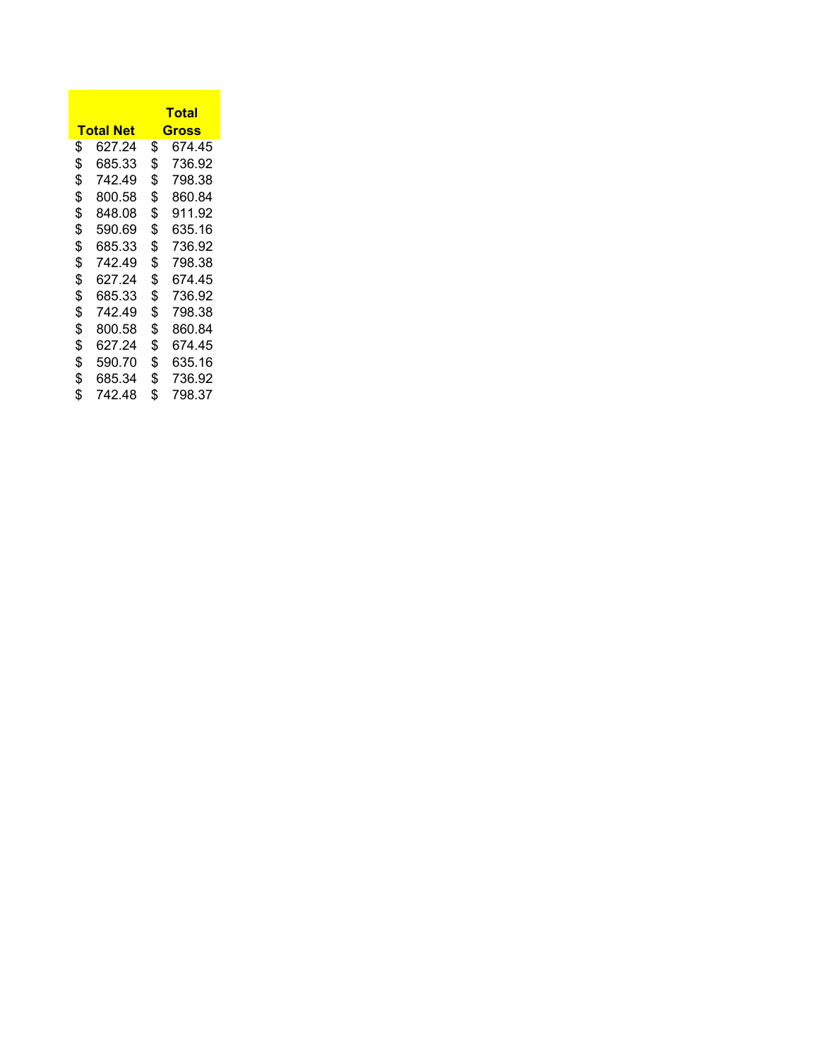|                  | Total        |
|------------------|--------------|
| <u>Total Net</u> | Gross        |
| \$<br>627.24     | \$<br>674.45 |
| \$<br>685.33     | \$<br>736.92 |
| \$<br>742.49     | \$<br>798.38 |
| \$<br>800.58     | \$<br>860.84 |
| \$<br>848.08     | \$<br>911.92 |
| \$<br>590.69     | \$<br>635.16 |
| \$<br>685.33     | \$<br>736.92 |
| \$<br>742.49     | \$<br>798.38 |
| \$<br>627.24     | \$<br>674.45 |
| \$<br>685.33     | \$<br>736.92 |
| \$<br>742.49     | \$<br>798.38 |
| \$<br>800.58     | \$<br>860.84 |
| \$<br>627.24     | \$<br>674.45 |
| \$<br>590.70     | \$<br>635.16 |
| \$<br>685.34     | \$<br>736.92 |
| \$<br>742.48     | \$<br>798.37 |